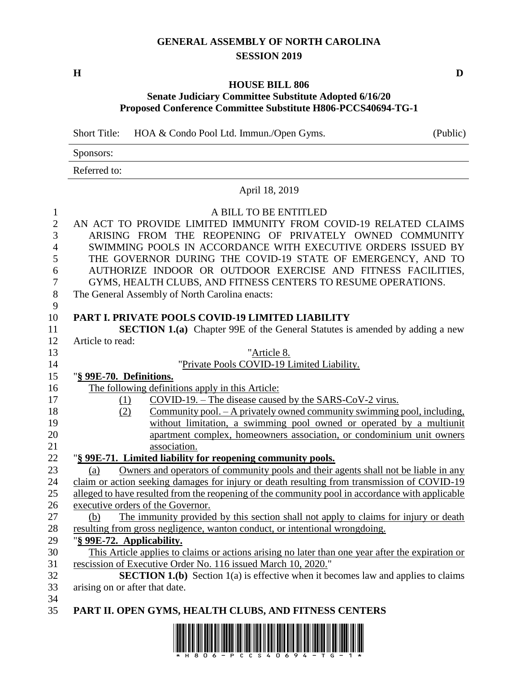## **GENERAL ASSEMBLY OF NORTH CAROLINA SESSION 2019**

**H D**

## **HOUSE BILL 806**

## **Senate Judiciary Committee Substitute Adopted 6/16/20 Proposed Conference Committee Substitute H806-PCCS40694-TG-1**

Short Title: HOA & Condo Pool Ltd. Immun./Open Gyms. (Public)

Sponsors:

Referred to:

April 18, 2019

1 A BILL TO BE ENTITLED

| л.               | 11 DICC TO DC CITILLED                                                                                                                                                                    |  |  |  |
|------------------|-------------------------------------------------------------------------------------------------------------------------------------------------------------------------------------------|--|--|--|
| $\overline{2}$   | AN ACT TO PROVIDE LIMITED IMMUNITY FROM COVID-19 RELATED CLAIMS                                                                                                                           |  |  |  |
| 3                | ARISING FROM THE REOPENING OF PRIVATELY OWNED COMMUNITY                                                                                                                                   |  |  |  |
| $\overline{4}$   | SWIMMING POOLS IN ACCORDANCE WITH EXECUTIVE ORDERS ISSUED BY                                                                                                                              |  |  |  |
| 5                | THE GOVERNOR DURING THE COVID-19 STATE OF EMERGENCY, AND TO                                                                                                                               |  |  |  |
| 6                | AUTHORIZE INDOOR OR OUTDOOR EXERCISE AND FITNESS FACILITIES,                                                                                                                              |  |  |  |
| $\boldsymbol{7}$ | GYMS, HEALTH CLUBS, AND FITNESS CENTERS TO RESUME OPERATIONS.                                                                                                                             |  |  |  |
| $8\,$            | The General Assembly of North Carolina enacts:                                                                                                                                            |  |  |  |
| 9                |                                                                                                                                                                                           |  |  |  |
| 10               | PART I. PRIVATE POOLS COVID-19 LIMITED LIABILITY                                                                                                                                          |  |  |  |
| 11               | <b>SECTION 1.(a)</b> Chapter 99E of the General Statutes is amended by adding a new                                                                                                       |  |  |  |
| 12<br>13         | Article to read:                                                                                                                                                                          |  |  |  |
|                  | "Article 8.                                                                                                                                                                               |  |  |  |
| 14               | "Private Pools COVID-19 Limited Liability.                                                                                                                                                |  |  |  |
| 15               | "§ 99E-70. Definitions.                                                                                                                                                                   |  |  |  |
| 16               | The following definitions apply in this Article:                                                                                                                                          |  |  |  |
| 17               | $COVID-19$ . – The disease caused by the SARS-CoV-2 virus.<br>(1)                                                                                                                         |  |  |  |
| 18               | Community pool. - A privately owned community swimming pool, including,<br>(2)                                                                                                            |  |  |  |
| 19               | without limitation, a swimming pool owned or operated by a multiunit                                                                                                                      |  |  |  |
| 20<br>21         | apartment complex, homeowners association, or condominium unit owners<br>association.                                                                                                     |  |  |  |
| 22               | "§ 99E-71. Limited liability for reopening community pools.                                                                                                                               |  |  |  |
|                  |                                                                                                                                                                                           |  |  |  |
| 23<br>24         | Owners and operators of community pools and their agents shall not be liable in any<br>(a)<br>claim or action seeking damages for injury or death resulting from transmission of COVID-19 |  |  |  |
|                  |                                                                                                                                                                                           |  |  |  |
| 25<br>26         | alleged to have resulted from the reopening of the community pool in accordance with applicable<br>executive orders of the Governor.                                                      |  |  |  |
| 27               | The immunity provided by this section shall not apply to claims for injury or death<br>(b)                                                                                                |  |  |  |
| 28               |                                                                                                                                                                                           |  |  |  |
| 29               | resulting from gross negligence, wanton conduct, or intentional wrongdoing.<br>"§ 99E-72. Applicability.                                                                                  |  |  |  |
| 30               |                                                                                                                                                                                           |  |  |  |
| 31               | This Article applies to claims or actions arising no later than one year after the expiration or<br>rescission of Executive Order No. 116 issued March 10, 2020."                         |  |  |  |
| 32               | <b>SECTION 1.(b)</b> Section 1(a) is effective when it becomes law and applies to claims                                                                                                  |  |  |  |
| 33               | arising on or after that date.                                                                                                                                                            |  |  |  |
| 34               |                                                                                                                                                                                           |  |  |  |
| 35               | PART II. OPEN GYMS, HEALTH CLUBS, AND FITNESS CENTERS                                                                                                                                     |  |  |  |
|                  |                                                                                                                                                                                           |  |  |  |

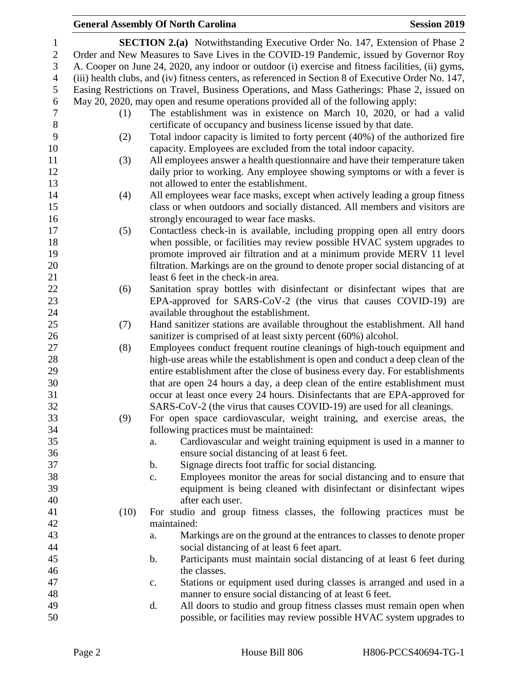## **General Assembly Of North Carolina Session 2019**

| 1              |                                                                                                   | <b>SECTION 2.(a)</b> Notwithstanding Executive Order No. 147, Extension of Phase 2                                                                         |  |  |  |  |
|----------------|---------------------------------------------------------------------------------------------------|------------------------------------------------------------------------------------------------------------------------------------------------------------|--|--|--|--|
| $\overline{2}$ | Order and New Measures to Save Lives in the COVID-19 Pandemic, issued by Governor Roy             |                                                                                                                                                            |  |  |  |  |
| 3              | A. Cooper on June 24, 2020, any indoor or outdoor (i) exercise and fitness facilities, (ii) gyms, |                                                                                                                                                            |  |  |  |  |
| $\overline{4}$ |                                                                                                   | (iii) health clubs, and (iv) fitness centers, as referenced in Section 8 of Executive Order No. 147,                                                       |  |  |  |  |
| 5              |                                                                                                   | Easing Restrictions on Travel, Business Operations, and Mass Gatherings: Phase 2, issued on                                                                |  |  |  |  |
| 6              |                                                                                                   | May 20, 2020, may open and resume operations provided all of the following apply:                                                                          |  |  |  |  |
| $\tau$         | (1)                                                                                               | The establishment was in existence on March 10, 2020, or had a valid                                                                                       |  |  |  |  |
| $8\,$          |                                                                                                   | certificate of occupancy and business license issued by that date.                                                                                         |  |  |  |  |
| $\mathbf{9}$   | (2)                                                                                               | Total indoor capacity is limited to forty percent (40%) of the authorized fire                                                                             |  |  |  |  |
| 10             |                                                                                                   | capacity. Employees are excluded from the total indoor capacity.                                                                                           |  |  |  |  |
| 11             | (3)                                                                                               | All employees answer a health questionnaire and have their temperature taken                                                                               |  |  |  |  |
| 12             |                                                                                                   | daily prior to working. Any employee showing symptoms or with a fever is<br>not allowed to enter the establishment.                                        |  |  |  |  |
| 13<br>14       |                                                                                                   |                                                                                                                                                            |  |  |  |  |
| 15             | (4)                                                                                               | All employees wear face masks, except when actively leading a group fitness<br>class or when outdoors and socially distanced. All members and visitors are |  |  |  |  |
| 16             |                                                                                                   | strongly encouraged to wear face masks.                                                                                                                    |  |  |  |  |
| 17             | (5)                                                                                               | Contactless check-in is available, including propping open all entry doors                                                                                 |  |  |  |  |
| 18             |                                                                                                   | when possible, or facilities may review possible HVAC system upgrades to                                                                                   |  |  |  |  |
| 19             |                                                                                                   | promote improved air filtration and at a minimum provide MERV 11 level                                                                                     |  |  |  |  |
| 20             |                                                                                                   | filtration. Markings are on the ground to denote proper social distancing of at                                                                            |  |  |  |  |
| 21             |                                                                                                   | least 6 feet in the check-in area.                                                                                                                         |  |  |  |  |
| 22             | (6)                                                                                               | Sanitation spray bottles with disinfectant or disinfectant wipes that are                                                                                  |  |  |  |  |
| 23             |                                                                                                   | EPA-approved for SARS-CoV-2 (the virus that causes COVID-19) are                                                                                           |  |  |  |  |
| 24             |                                                                                                   | available throughout the establishment.                                                                                                                    |  |  |  |  |
| 25             | (7)                                                                                               | Hand sanitizer stations are available throughout the establishment. All hand                                                                               |  |  |  |  |
| 26             |                                                                                                   | sanitizer is comprised of at least sixty percent (60%) alcohol.                                                                                            |  |  |  |  |
| 27             | (8)                                                                                               | Employees conduct frequent routine cleanings of high-touch equipment and                                                                                   |  |  |  |  |
| 28             |                                                                                                   | high-use areas while the establishment is open and conduct a deep clean of the                                                                             |  |  |  |  |
| 29             |                                                                                                   | entire establishment after the close of business every day. For establishments                                                                             |  |  |  |  |
| 30             |                                                                                                   | that are open 24 hours a day, a deep clean of the entire establishment must                                                                                |  |  |  |  |
| 31             |                                                                                                   | occur at least once every 24 hours. Disinfectants that are EPA-approved for                                                                                |  |  |  |  |
| 32             |                                                                                                   | SARS-CoV-2 (the virus that causes COVID-19) are used for all cleanings.                                                                                    |  |  |  |  |
| 33             | (9)                                                                                               | For open space cardiovascular, weight training, and exercise areas, the                                                                                    |  |  |  |  |
| 34             |                                                                                                   | following practices must be maintained:                                                                                                                    |  |  |  |  |
| 35             |                                                                                                   | Cardiovascular and weight training equipment is used in a manner to<br>a.                                                                                  |  |  |  |  |
| 36             |                                                                                                   | ensure social distancing of at least 6 feet.                                                                                                               |  |  |  |  |
| 37             |                                                                                                   | Signage directs foot traffic for social distancing.<br>$\mathbf b$ .                                                                                       |  |  |  |  |
| 38             |                                                                                                   | Employees monitor the areas for social distancing and to ensure that<br>c.                                                                                 |  |  |  |  |
| 39             |                                                                                                   | equipment is being cleaned with disinfectant or disinfectant wipes                                                                                         |  |  |  |  |
| 40             |                                                                                                   | after each user.                                                                                                                                           |  |  |  |  |
| 41             | (10)                                                                                              | For studio and group fitness classes, the following practices must be                                                                                      |  |  |  |  |
| 42             |                                                                                                   | maintained:                                                                                                                                                |  |  |  |  |
| 43             |                                                                                                   | Markings are on the ground at the entrances to classes to denote proper<br>a.                                                                              |  |  |  |  |
| 44<br>45       |                                                                                                   | social distancing of at least 6 feet apart.<br>Participants must maintain social distancing of at least 6 feet during<br>$\mathbf b$ .                     |  |  |  |  |
| 46             |                                                                                                   | the classes.                                                                                                                                               |  |  |  |  |
| 47             |                                                                                                   | Stations or equipment used during classes is arranged and used in a<br>$\mathbf{c}$ .                                                                      |  |  |  |  |
| 48             |                                                                                                   | manner to ensure social distancing of at least 6 feet.                                                                                                     |  |  |  |  |
| 49             |                                                                                                   | All doors to studio and group fitness classes must remain open when<br>d.                                                                                  |  |  |  |  |
| 50             |                                                                                                   | possible, or facilities may review possible HVAC system upgrades to                                                                                        |  |  |  |  |